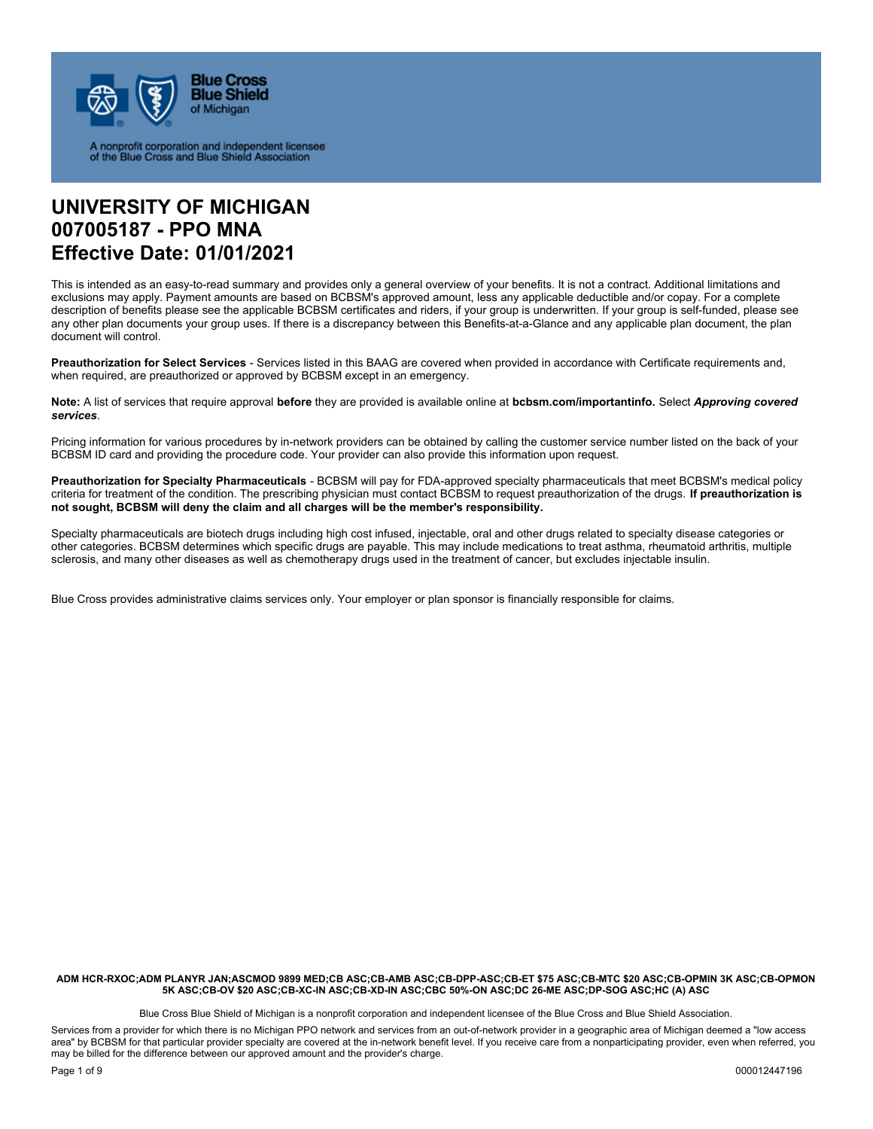

A nonprofit corporation and independent licensee<br>of the Blue Cross and Blue Shield Association

# **UNIVERSITY OF MICHIGAN 007005187 - PPO MNA Effective Date: 01/01/2021**

This is intended as an easy-to-read summary and provides only a general overview of your benefits. It is not a contract. Additional limitations and exclusions may apply. Payment amounts are based on BCBSM's approved amount, less any applicable deductible and/or copay. For a complete description of benefits please see the applicable BCBSM certificates and riders, if your group is underwritten. If your group is self-funded, please see any other plan documents your group uses. If there is a discrepancy between this Benefits-at-a-Glance and any applicable plan document, the plan document will control.

**Preauthorization for Select Services** - Services listed in this BAAG are covered when provided in accordance with Certificate requirements and, when required, are preauthorized or approved by BCBSM except in an emergency.

**Note:** A list of services that require approval **before** they are provided is available online at **bcbsm.com/importantinfo.** Select *Approving covered services*.

Pricing information for various procedures by in-network providers can be obtained by calling the customer service number listed on the back of your BCBSM ID card and providing the procedure code. Your provider can also provide this information upon request.

**Preauthorization for Specialty Pharmaceuticals** - BCBSM will pay for FDA-approved specialty pharmaceuticals that meet BCBSM's medical policy criteria for treatment of the condition. The prescribing physician must contact BCBSM to request preauthorization of the drugs. **If preauthorization is not sought, BCBSM will deny the claim and all charges will be the member's responsibility.** 

Specialty pharmaceuticals are biotech drugs including high cost infused, injectable, oral and other drugs related to specialty disease categories or other categories. BCBSM determines which specific drugs are payable. This may include medications to treat asthma, rheumatoid arthritis, multiple sclerosis, and many other diseases as well as chemotherapy drugs used in the treatment of cancer, but excludes injectable insulin.

Blue Cross provides administrative claims services only. Your employer or plan sponsor is financially responsible for claims.

**ADM HCR-RXOC;ADM PLANYR JAN;ASCMOD 9899 MED;CB ASC;CB-AMB ASC;CB-DPP-ASC;CB-ET \$75 ASC;CB-MTC \$20 ASC;CB-OPMIN 3K ASC;CB-OPMON 5K ASC;CB-OV \$20 ASC;CB-XC-IN ASC;CB-XD-IN ASC;CBC 50%-ON ASC;DC 26-ME ASC;DP-SOG ASC;HC (A) ASC** 

Blue Cross Blue Shield of Michigan is a nonprofit corporation and independent licensee of the Blue Cross and Blue Shield Association.

Services from a provider for which there is no Michigan PPO network and services from an out-of-network provider in a geographic area of Michigan deemed a "low access area" by BCBSM for that particular provider specialty are covered at the in-network benefit level. If you receive care from a nonparticipating provider, even when referred, you may be billed for the difference between our approved amount and the provider's charge.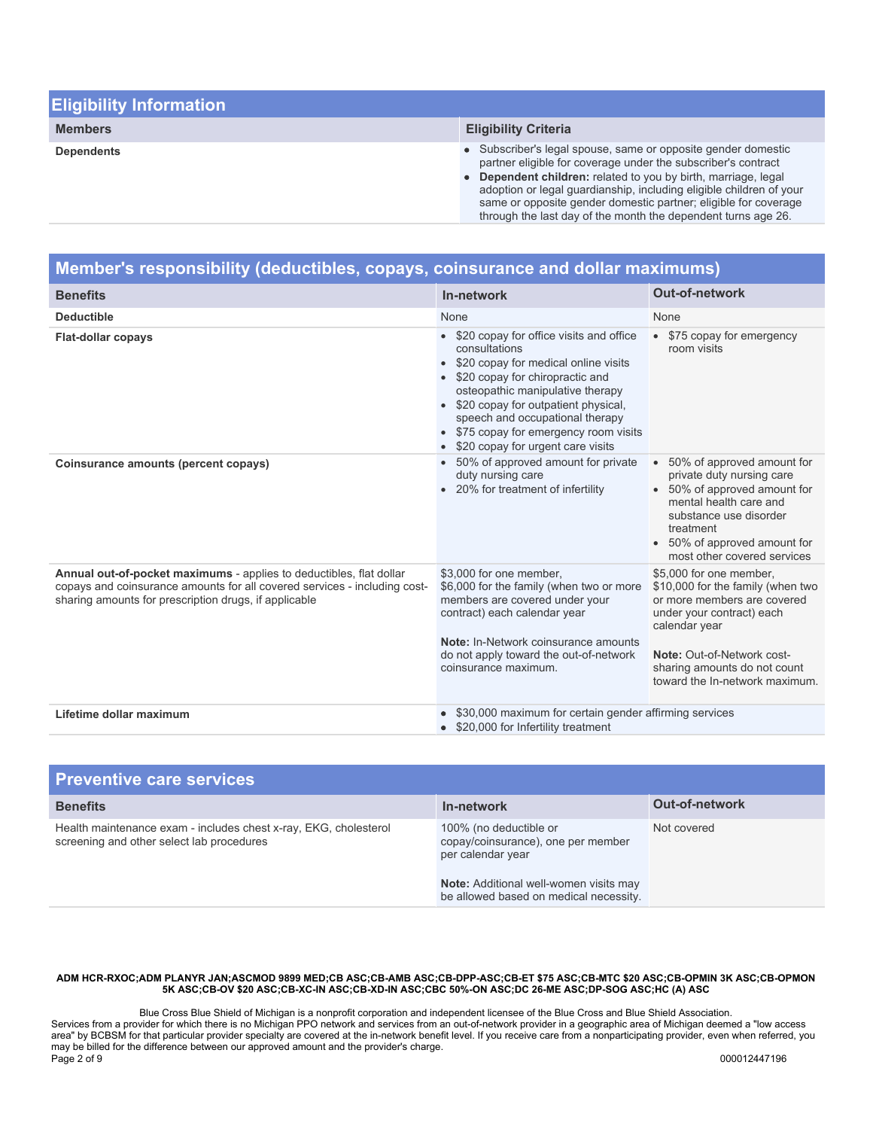| <b>Eligibility Information</b> |                                                                                                                                                                                                                                                                                                                                                                                                             |
|--------------------------------|-------------------------------------------------------------------------------------------------------------------------------------------------------------------------------------------------------------------------------------------------------------------------------------------------------------------------------------------------------------------------------------------------------------|
| <b>Members</b>                 | <b>Eligibility Criteria</b>                                                                                                                                                                                                                                                                                                                                                                                 |
| <b>Dependents</b>              | • Subscriber's legal spouse, same or opposite gender domestic<br>partner eligible for coverage under the subscriber's contract<br>• Dependent children: related to you by birth, marriage, legal<br>adoption or legal guardianship, including eligible children of your<br>same or opposite gender domestic partner; eligible for coverage<br>through the last day of the month the dependent turns age 26. |

| Member's responsibility (deductibles, copays, coinsurance and dollar maximums)                                                                                                                            |                                                                                                                                                                                                                                                                                                                                    |                                                                                                                                                                                                                                           |
|-----------------------------------------------------------------------------------------------------------------------------------------------------------------------------------------------------------|------------------------------------------------------------------------------------------------------------------------------------------------------------------------------------------------------------------------------------------------------------------------------------------------------------------------------------|-------------------------------------------------------------------------------------------------------------------------------------------------------------------------------------------------------------------------------------------|
| <b>Benefits</b>                                                                                                                                                                                           | In-network                                                                                                                                                                                                                                                                                                                         | <b>Out-of-network</b>                                                                                                                                                                                                                     |
| <b>Deductible</b>                                                                                                                                                                                         | None                                                                                                                                                                                                                                                                                                                               | None                                                                                                                                                                                                                                      |
| <b>Flat-dollar copays</b>                                                                                                                                                                                 | • \$20 copay for office visits and office<br>consultations<br>\$20 copay for medical online visits<br>• \$20 copay for chiropractic and<br>osteopathic manipulative therapy<br>\$20 copay for outpatient physical,<br>speech and occupational therapy<br>\$75 copay for emergency room visits<br>\$20 copay for urgent care visits | • \$75 copay for emergency<br>room visits                                                                                                                                                                                                 |
| Coinsurance amounts (percent copays)                                                                                                                                                                      | 50% of approved amount for private<br>duty nursing care<br>• 20% for treatment of infertility                                                                                                                                                                                                                                      | 50% of approved amount for<br>private duty nursing care<br>• 50% of approved amount for<br>mental health care and<br>substance use disorder<br>treatment<br>50% of approved amount for<br>most other covered services                     |
| Annual out-of-pocket maximums - applies to deductibles, flat dollar<br>copays and coinsurance amounts for all covered services - including cost-<br>sharing amounts for prescription drugs, if applicable | \$3,000 for one member,<br>\$6,000 for the family (when two or more<br>members are covered under your<br>contract) each calendar year<br>Note: In-Network coinsurance amounts<br>do not apply toward the out-of-network<br>coinsurance maximum.                                                                                    | \$5,000 for one member,<br>\$10,000 for the family (when two<br>or more members are covered<br>under your contract) each<br>calendar year<br>Note: Out-of-Network cost-<br>sharing amounts do not count<br>toward the In-network maximum. |
| Lifetime dollar maximum                                                                                                                                                                                   | \$30,000 maximum for certain gender affirming services<br>\$20,000 for Infertility treatment                                                                                                                                                                                                                                       |                                                                                                                                                                                                                                           |

| <b>Preventive care services</b>                                                                               |                                                                                                                                                                       |                       |
|---------------------------------------------------------------------------------------------------------------|-----------------------------------------------------------------------------------------------------------------------------------------------------------------------|-----------------------|
| <b>Benefits</b>                                                                                               | In-network                                                                                                                                                            | <b>Out-of-network</b> |
| Health maintenance exam - includes chest x-ray, EKG, cholesterol<br>screening and other select lab procedures | 100% (no deductible or<br>copay/coinsurance), one per member<br>per calendar year<br>Note: Additional well-women visits may<br>be allowed based on medical necessity. | Not covered           |

Blue Cross Blue Shield of Michigan is a nonprofit corporation and independent licensee of the Blue Cross and Blue Shield Association. Services from a provider for which there is no Michigan PPO network and services from an out-of-network provider in a geographic area of Michigan deemed a "low access area" by BCBSM for that particular provider specialty are covered at the in-network benefit level. If you receive care from a nonparticipating provider, even when referred, you may be billed for the difference between our approved amount and the provider's charge. Page 2 of 9 000012447196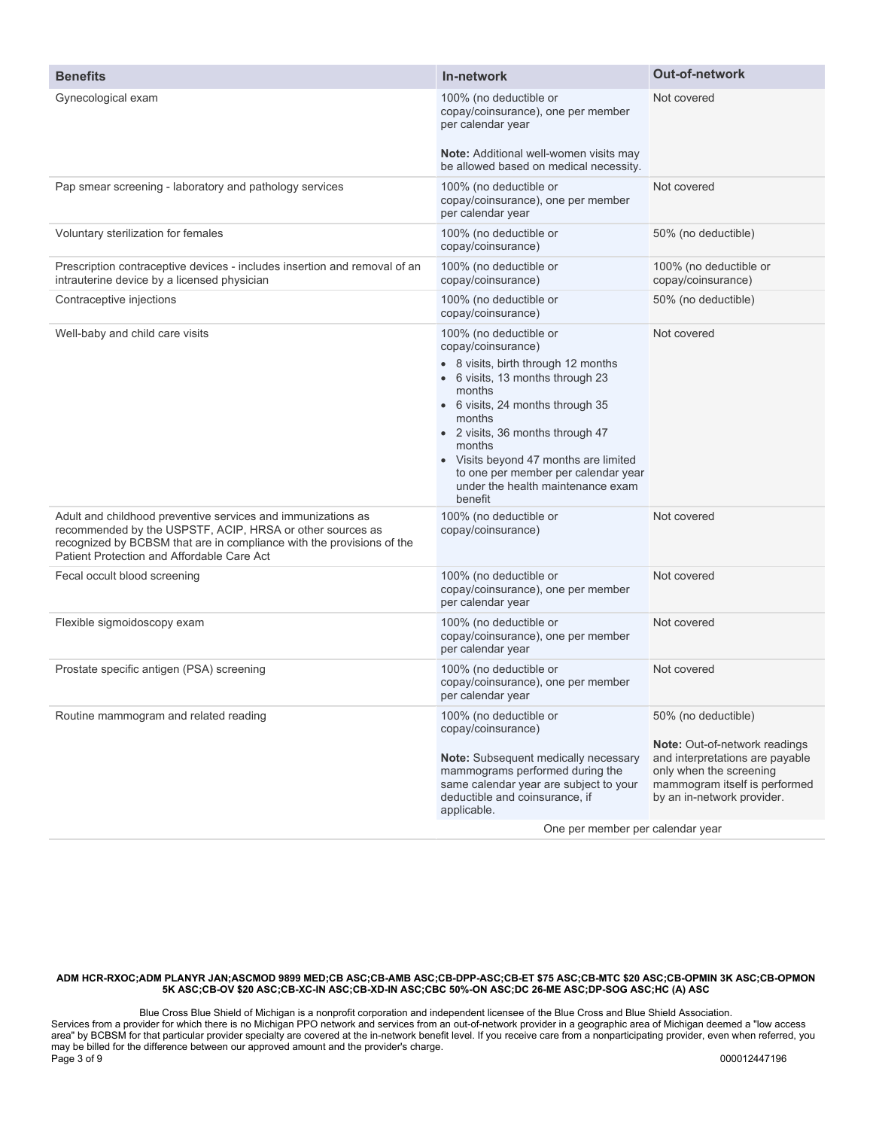| <b>Benefits</b>                                                                                                                                                                                                                                  | In-network                                                                                                                                                                                                                                                                                                                                                    | Out-of-network                                                                                                                                                                           |
|--------------------------------------------------------------------------------------------------------------------------------------------------------------------------------------------------------------------------------------------------|---------------------------------------------------------------------------------------------------------------------------------------------------------------------------------------------------------------------------------------------------------------------------------------------------------------------------------------------------------------|------------------------------------------------------------------------------------------------------------------------------------------------------------------------------------------|
| Gynecological exam                                                                                                                                                                                                                               | 100% (no deductible or<br>copay/coinsurance), one per member<br>per calendar year                                                                                                                                                                                                                                                                             | Not covered                                                                                                                                                                              |
|                                                                                                                                                                                                                                                  | <b>Note:</b> Additional well-women visits may<br>be allowed based on medical necessity.                                                                                                                                                                                                                                                                       |                                                                                                                                                                                          |
| Pap smear screening - laboratory and pathology services                                                                                                                                                                                          | 100% (no deductible or<br>copay/coinsurance), one per member<br>per calendar year                                                                                                                                                                                                                                                                             | Not covered                                                                                                                                                                              |
| Voluntary sterilization for females                                                                                                                                                                                                              | 100% (no deductible or<br>copay/coinsurance)                                                                                                                                                                                                                                                                                                                  | 50% (no deductible)                                                                                                                                                                      |
| Prescription contraceptive devices - includes insertion and removal of an<br>intrauterine device by a licensed physician                                                                                                                         | 100% (no deductible or<br>copay/coinsurance)                                                                                                                                                                                                                                                                                                                  | 100% (no deductible or<br>copay/coinsurance)                                                                                                                                             |
| Contraceptive injections                                                                                                                                                                                                                         | 100% (no deductible or<br>copay/coinsurance)                                                                                                                                                                                                                                                                                                                  | 50% (no deductible)                                                                                                                                                                      |
| Well-baby and child care visits                                                                                                                                                                                                                  | 100% (no deductible or<br>copay/coinsurance)<br>• 8 visits, birth through 12 months<br>• 6 visits, 13 months through 23<br>months<br>• 6 visits, 24 months through 35<br>months<br>· 2 visits, 36 months through 47<br>months<br>• Visits beyond 47 months are limited<br>to one per member per calendar year<br>under the health maintenance exam<br>benefit | Not covered                                                                                                                                                                              |
| Adult and childhood preventive services and immunizations as<br>recommended by the USPSTF, ACIP, HRSA or other sources as<br>recognized by BCBSM that are in compliance with the provisions of the<br>Patient Protection and Affordable Care Act | 100% (no deductible or<br>copay/coinsurance)                                                                                                                                                                                                                                                                                                                  | Not covered                                                                                                                                                                              |
| Fecal occult blood screening                                                                                                                                                                                                                     | 100% (no deductible or<br>copay/coinsurance), one per member<br>per calendar year                                                                                                                                                                                                                                                                             | Not covered                                                                                                                                                                              |
| Flexible sigmoidoscopy exam                                                                                                                                                                                                                      | 100% (no deductible or<br>copay/coinsurance), one per member<br>per calendar year                                                                                                                                                                                                                                                                             | Not covered                                                                                                                                                                              |
| Prostate specific antigen (PSA) screening                                                                                                                                                                                                        | 100% (no deductible or<br>copay/coinsurance), one per member<br>per calendar year                                                                                                                                                                                                                                                                             | Not covered                                                                                                                                                                              |
| Routine mammogram and related reading                                                                                                                                                                                                            | 100% (no deductible or<br>copay/coinsurance)<br>Note: Subsequent medically necessary<br>mammograms performed during the<br>same calendar year are subject to your<br>deductible and coinsurance, if<br>applicable.<br>One per member per calendar year                                                                                                        | 50% (no deductible)<br><b>Note:</b> Out-of-network readings<br>and interpretations are payable<br>only when the screening<br>mammogram itself is performed<br>by an in-network provider. |

Blue Cross Blue Shield of Michigan is a nonprofit corporation and independent licensee of the Blue Cross and Blue Shield Association. Services from a provider for which there is no Michigan PPO network and services from an out-of-network provider in a geographic area of Michigan deemed a "low access area" by BCBSM for that particular provider specialty are covered at the in-network benefit level. If you receive care from a nonparticipating provider, even when referred, you may be billed for the difference between our approved amount and the provider's charge. Page 3 of 9 000012447196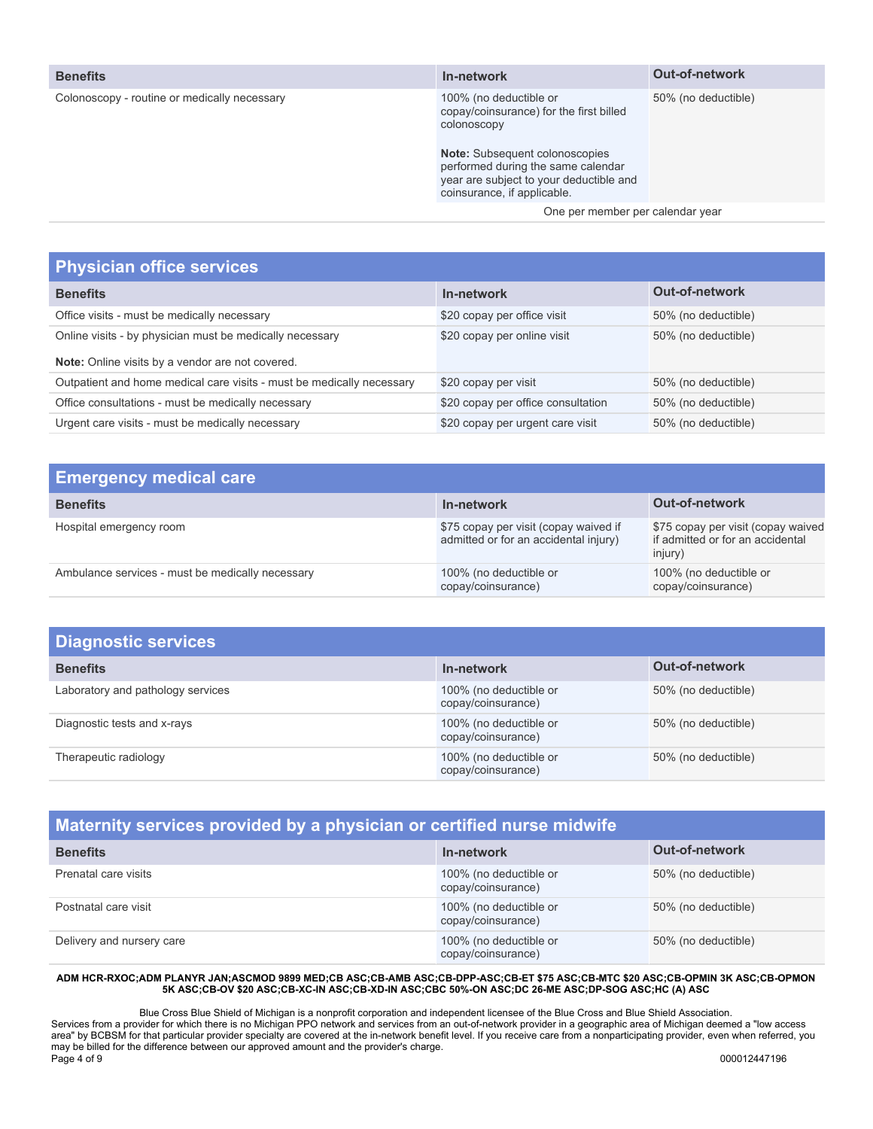|  | <b>Benefits</b> |  |
|--|-----------------|--|
|  |                 |  |

| <b>Benefits</b>                              | In-network                                                                                                                                                                                                                                | <b>Out-of-network</b> |
|----------------------------------------------|-------------------------------------------------------------------------------------------------------------------------------------------------------------------------------------------------------------------------------------------|-----------------------|
| Colonoscopy - routine or medically necessary | 100% (no deductible or<br>copay/coinsurance) for the first billed<br>colonoscopy<br><b>Note:</b> Subsequent colonoscopies<br>performed during the same calendar<br>year are subject to your deductible and<br>coinsurance, if applicable. | 50% (no deductible)   |
|                                              | One per member per calendar year                                                                                                                                                                                                          |                       |
|                                              |                                                                                                                                                                                                                                           |                       |

### **Physician office services**

| <b>Benefits</b>                                                       | In-network                         | <b>Out-of-network</b> |
|-----------------------------------------------------------------------|------------------------------------|-----------------------|
| Office visits - must be medically necessary                           | \$20 copay per office visit        | 50% (no deductible)   |
| Online visits - by physician must be medically necessary              | \$20 copay per online visit        | 50% (no deductible)   |
| Note: Online visits by a vendor are not covered.                      |                                    |                       |
| Outpatient and home medical care visits - must be medically necessary | \$20 copay per visit               | 50% (no deductible)   |
| Office consultations - must be medically necessary                    | \$20 copay per office consultation | 50% (no deductible)   |
| Urgent care visits - must be medically necessary                      | \$20 copay per urgent care visit   | 50% (no deductible)   |

| <b>Emergency medical care</b>                    |                                                                                |                                                                                   |
|--------------------------------------------------|--------------------------------------------------------------------------------|-----------------------------------------------------------------------------------|
| <b>Benefits</b>                                  | In-network                                                                     | <b>Out-of-network</b>                                                             |
| Hospital emergency room                          | \$75 copay per visit (copay waived if<br>admitted or for an accidental injury) | \$75 copay per visit (copay waived<br>if admitted or for an accidental<br>injury) |
| Ambulance services - must be medically necessary | 100% (no deductible or<br>copay/coinsurance)                                   | 100% (no deductible or<br>copay/coinsurance)                                      |

| <b>Diagnostic services</b>        |                                              |                       |
|-----------------------------------|----------------------------------------------|-----------------------|
| <b>Benefits</b>                   | In-network                                   | <b>Out-of-network</b> |
| Laboratory and pathology services | 100% (no deductible or<br>copay/coinsurance) | 50% (no deductible)   |
| Diagnostic tests and x-rays       | 100% (no deductible or<br>copay/coinsurance) | 50% (no deductible)   |
| Therapeutic radiology             | 100% (no deductible or<br>copay/coinsurance) | 50% (no deductible)   |

## **Maternity services provided by a physician or certified nurse midwife**

| <b>Benefits</b>           | In-network                                   | <b>Out-of-network</b> |
|---------------------------|----------------------------------------------|-----------------------|
| Prenatal care visits      | 100% (no deductible or<br>copay/coinsurance) | 50% (no deductible)   |
| Postnatal care visit      | 100% (no deductible or<br>copay/coinsurance) | 50% (no deductible)   |
| Delivery and nursery care | 100% (no deductible or<br>copay/coinsurance) | 50% (no deductible)   |

### **ADM HCR-RXOC;ADM PLANYR JAN;ASCMOD 9899 MED;CB ASC;CB-AMB ASC;CB-DPP-ASC;CB-ET \$75 ASC;CB-MTC \$20 ASC;CB-OPMIN 3K ASC;CB-OPMON 5K ASC;CB-OV \$20 ASC;CB-XC-IN ASC;CB-XD-IN ASC;CBC 50%-ON ASC;DC 26-ME ASC;DP-SOG ASC;HC (A) ASC**

Blue Cross Blue Shield of Michigan is a nonprofit corporation and independent licensee of the Blue Cross and Blue Shield Association. Services from a provider for which there is no Michigan PPO network and services from an out-of-network provider in a geographic area of Michigan deemed a "low access area" by BCBSM for that particular provider specialty are covered at the in-network benefit level. If you receive care from a nonparticipating provider, even when referred, you may be billed for the difference between our approved amount and the provider's charge. Page 4 of 9 000012447196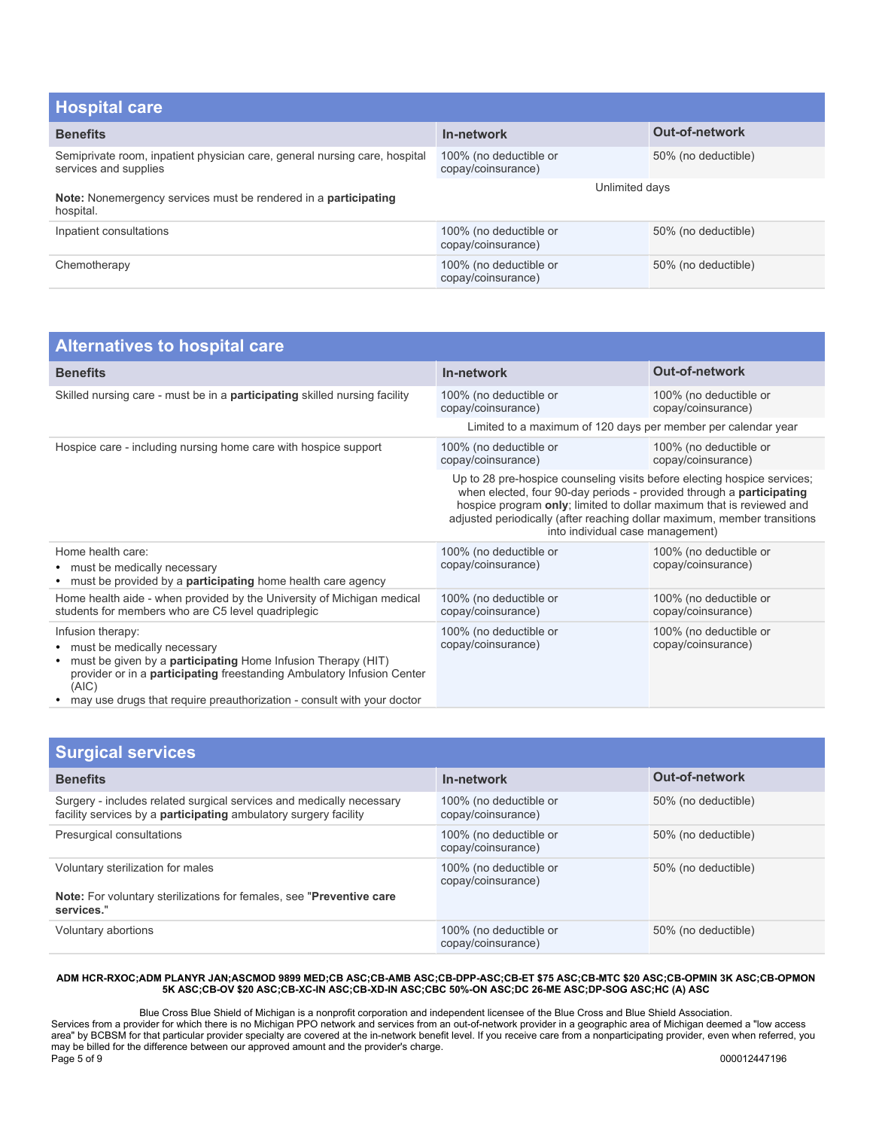| <b>Hospital care</b>                                                                                |                                              |                       |
|-----------------------------------------------------------------------------------------------------|----------------------------------------------|-----------------------|
| <b>Benefits</b>                                                                                     | In-network                                   | <b>Out-of-network</b> |
| Semiprivate room, inpatient physician care, general nursing care, hospital<br>services and supplies | 100% (no deductible or<br>copay/coinsurance) | 50% (no deductible)   |
| Note: Nonemergency services must be rendered in a participating<br>hospital.                        | Unlimited days                               |                       |
| Inpatient consultations                                                                             | 100% (no deductible or<br>copay/coinsurance) | 50% (no deductible)   |
| Chemotherapy                                                                                        | 100% (no deductible or<br>copay/coinsurance) | 50% (no deductible)   |

| <b>Alternatives to hospital care</b>                                                                                                                                                                                                                                                   |                                                                                                                                                                                                                                                                                                                                          |                                              |  |
|----------------------------------------------------------------------------------------------------------------------------------------------------------------------------------------------------------------------------------------------------------------------------------------|------------------------------------------------------------------------------------------------------------------------------------------------------------------------------------------------------------------------------------------------------------------------------------------------------------------------------------------|----------------------------------------------|--|
| <b>Benefits</b>                                                                                                                                                                                                                                                                        | In-network                                                                                                                                                                                                                                                                                                                               | <b>Out-of-network</b>                        |  |
| Skilled nursing care - must be in a <b>participating</b> skilled nursing facility                                                                                                                                                                                                      | 100% (no deductible or<br>copay/coinsurance)                                                                                                                                                                                                                                                                                             | 100% (no deductible or<br>copay/coinsurance) |  |
|                                                                                                                                                                                                                                                                                        | Limited to a maximum of 120 days per member per calendar year                                                                                                                                                                                                                                                                            |                                              |  |
| Hospice care - including nursing home care with hospice support                                                                                                                                                                                                                        | 100% (no deductible or<br>copay/coinsurance)                                                                                                                                                                                                                                                                                             | 100% (no deductible or<br>copay/coinsurance) |  |
|                                                                                                                                                                                                                                                                                        | Up to 28 pre-hospice counseling visits before electing hospice services;<br>when elected, four 90-day periods - provided through a participating<br>hospice program only; limited to dollar maximum that is reviewed and<br>adjusted periodically (after reaching dollar maximum, member transitions<br>into individual case management) |                                              |  |
| Home health care:<br>• must be medically necessary<br>• must be provided by a <b>participating</b> home health care agency                                                                                                                                                             | 100% (no deductible or<br>copay/coinsurance)                                                                                                                                                                                                                                                                                             | 100% (no deductible or<br>copay/coinsurance) |  |
| Home health aide - when provided by the University of Michigan medical<br>students for members who are C5 level quadriplegic                                                                                                                                                           | 100% (no deductible or<br>copay/coinsurance)                                                                                                                                                                                                                                                                                             | 100% (no deductible or<br>copay/coinsurance) |  |
| Infusion therapy:<br>• must be medically necessary<br>must be given by a <b>participating</b> Home Infusion Therapy (HIT)<br>provider or in a participating freestanding Ambulatory Infusion Center<br>(AIC)<br>may use drugs that require preauthorization - consult with your doctor | 100% (no deductible or<br>copay/coinsurance)                                                                                                                                                                                                                                                                                             | 100% (no deductible or<br>copay/coinsurance) |  |

| <b>Surgical services</b>                                                                                                                        |                                              |                       |  |
|-------------------------------------------------------------------------------------------------------------------------------------------------|----------------------------------------------|-----------------------|--|
| <b>Benefits</b>                                                                                                                                 | In-network                                   | <b>Out-of-network</b> |  |
| Surgery - includes related surgical services and medically necessary<br>facility services by a <b>participating</b> ambulatory surgery facility | 100% (no deductible or<br>copay/coinsurance) | 50% (no deductible)   |  |
| Presurgical consultations                                                                                                                       | 100% (no deductible or<br>copay/coinsurance) | 50% (no deductible)   |  |
| Voluntary sterilization for males                                                                                                               | 100% (no deductible or<br>copay/coinsurance) | 50% (no deductible)   |  |
| Note: For voluntary sterilizations for females, see "Preventive care"<br>services."                                                             |                                              |                       |  |
| Voluntary abortions                                                                                                                             | 100% (no deductible or<br>copay/coinsurance) | 50% (no deductible)   |  |

Blue Cross Blue Shield of Michigan is a nonprofit corporation and independent licensee of the Blue Cross and Blue Shield Association. Services from a provider for which there is no Michigan PPO network and services from an out-of-network provider in a geographic area of Michigan deemed a "low access area" by BCBSM for that particular provider specialty are covered at the in-network benefit level. If you receive care from a nonparticipating provider, even when referred, you may be billed for the difference between our approved amount and the provider's charge. Page 5 of 9 000012447196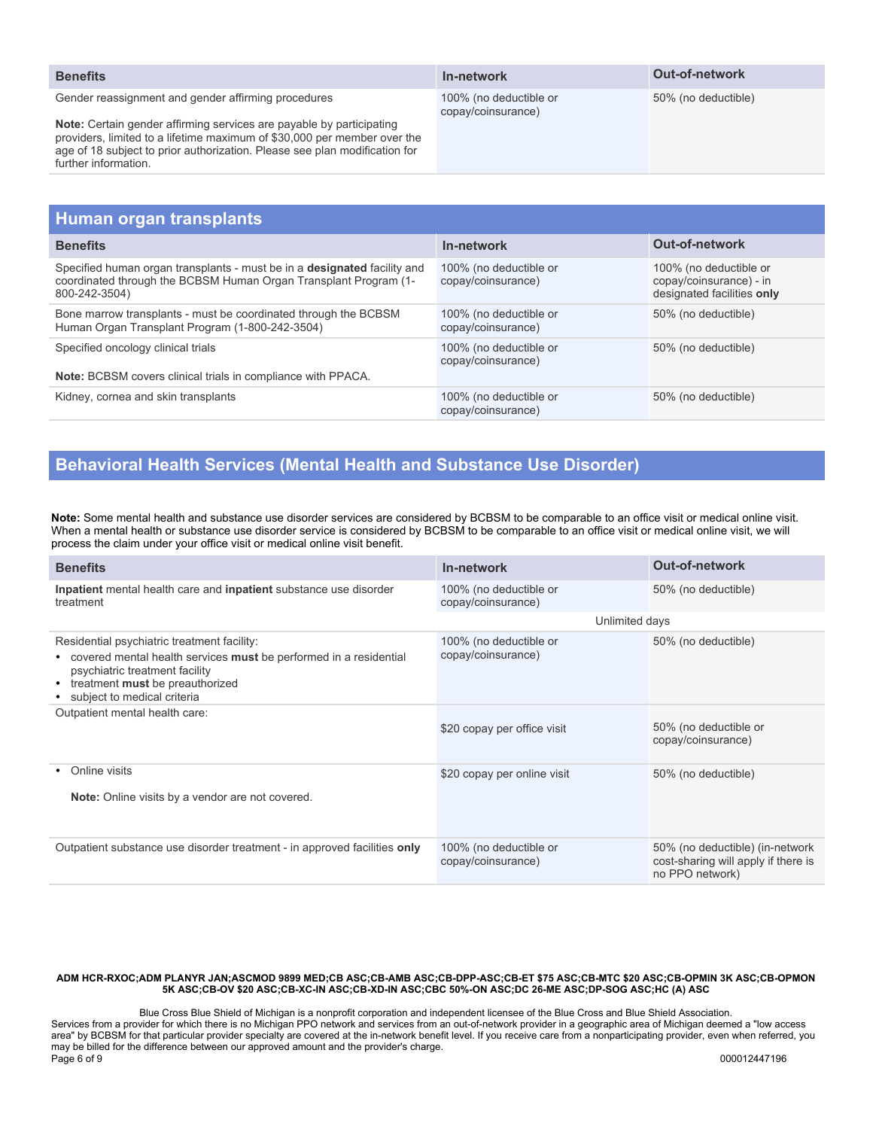| <b>Benefits</b>                                                                                                                                                                                                                                                                                               | In-network                                   | <b>Out-of-network</b> |
|---------------------------------------------------------------------------------------------------------------------------------------------------------------------------------------------------------------------------------------------------------------------------------------------------------------|----------------------------------------------|-----------------------|
| Gender reassignment and gender affirming procedures<br>Note: Certain gender affirming services are payable by participating<br>providers, limited to a lifetime maximum of \$30,000 per member over the<br>age of 18 subject to prior authorization. Please see plan modification for<br>further information. | 100% (no deductible or<br>copay/coinsurance) | 50% (no deductible)   |
|                                                                                                                                                                                                                                                                                                               |                                              |                       |
| Human organ tranenlante                                                                                                                                                                                                                                                                                       |                                              |                       |

| Human viyan tidhəpiantə                                                                                                                                              |                                              |                                                                                 |
|----------------------------------------------------------------------------------------------------------------------------------------------------------------------|----------------------------------------------|---------------------------------------------------------------------------------|
| <b>Benefits</b>                                                                                                                                                      | In-network                                   | <b>Out-of-network</b>                                                           |
| Specified human organ transplants - must be in a <b>designated</b> facility and<br>coordinated through the BCBSM Human Organ Transplant Program (1-<br>800-242-3504) | 100% (no deductible or<br>copay/coinsurance) | 100% (no deductible or<br>copay/coinsurance) - in<br>designated facilities only |
| Bone marrow transplants - must be coordinated through the BCBSM<br>Human Organ Transplant Program (1-800-242-3504)                                                   | 100% (no deductible or<br>copay/coinsurance) | 50% (no deductible)                                                             |
| Specified oncology clinical trials<br><b>Note:</b> BCBSM covers clinical trials in compliance with PPACA.                                                            | 100% (no deductible or<br>copay/coinsurance) | 50% (no deductible)                                                             |
| Kidney, cornea and skin transplants                                                                                                                                  | 100% (no deductible or<br>copay/coinsurance) | 50% (no deductible)                                                             |

### **Behavioral Health Services (Mental Health and Substance Use Disorder)**

**Note:** Some mental health and substance use disorder services are considered by BCBSM to be comparable to an office visit or medical online visit. When a mental health or substance use disorder service is considered by BCBSM to be comparable to an office visit or medical online visit, we will process the claim under your office visit or medical online visit benefit.

| <b>Benefits</b>                                                                                                                                                                                                            | In-network                                   | <b>Out-of-network</b>                                                                     |  |  |
|----------------------------------------------------------------------------------------------------------------------------------------------------------------------------------------------------------------------------|----------------------------------------------|-------------------------------------------------------------------------------------------|--|--|
| Inpatient mental health care and inpatient substance use disorder<br>treatment                                                                                                                                             | 100% (no deductible or<br>copay/coinsurance) | 50% (no deductible)                                                                       |  |  |
|                                                                                                                                                                                                                            |                                              | Unlimited days                                                                            |  |  |
| Residential psychiatric treatment facility:<br>• covered mental health services must be performed in a residential<br>psychiatric treatment facility<br>• treatment must be preauthorized<br>• subject to medical criteria | 100% (no deductible or<br>copay/coinsurance) | 50% (no deductible)                                                                       |  |  |
| Outpatient mental health care:                                                                                                                                                                                             | \$20 copay per office visit                  | 50% (no deductible or<br>copay/coinsurance)                                               |  |  |
| Online visits<br>Note: Online visits by a vendor are not covered.                                                                                                                                                          | \$20 copay per online visit                  | 50% (no deductible)                                                                       |  |  |
| Outpatient substance use disorder treatment - in approved facilities only                                                                                                                                                  | 100% (no deductible or<br>copay/coinsurance) | 50% (no deductible) (in-network<br>cost-sharing will apply if there is<br>no PPO network) |  |  |

#### **ADM HCR-RXOC;ADM PLANYR JAN;ASCMOD 9899 MED;CB ASC;CB-AMB ASC;CB-DPP-ASC;CB-ET \$75 ASC;CB-MTC \$20 ASC;CB-OPMIN 3K ASC;CB-OPMON 5K ASC;CB-OV \$20 ASC;CB-XC-IN ASC;CB-XD-IN ASC;CBC 50%-ON ASC;DC 26-ME ASC;DP-SOG ASC;HC (A) ASC**

Blue Cross Blue Shield of Michigan is a nonprofit corporation and independent licensee of the Blue Cross and Blue Shield Association. Services from a provider for which there is no Michigan PPO network and services from an out-of-network provider in a geographic area of Michigan deemed a "low access area" by BCBSM for that particular provider specialty are covered at the in-network benefit level. If you receive care from a nonparticipating provider, even when referred, you may be billed for the difference between our approved amount and the provider's charge.<br>Page 6 of 9 Page 6 of 9 000012447196 000012447196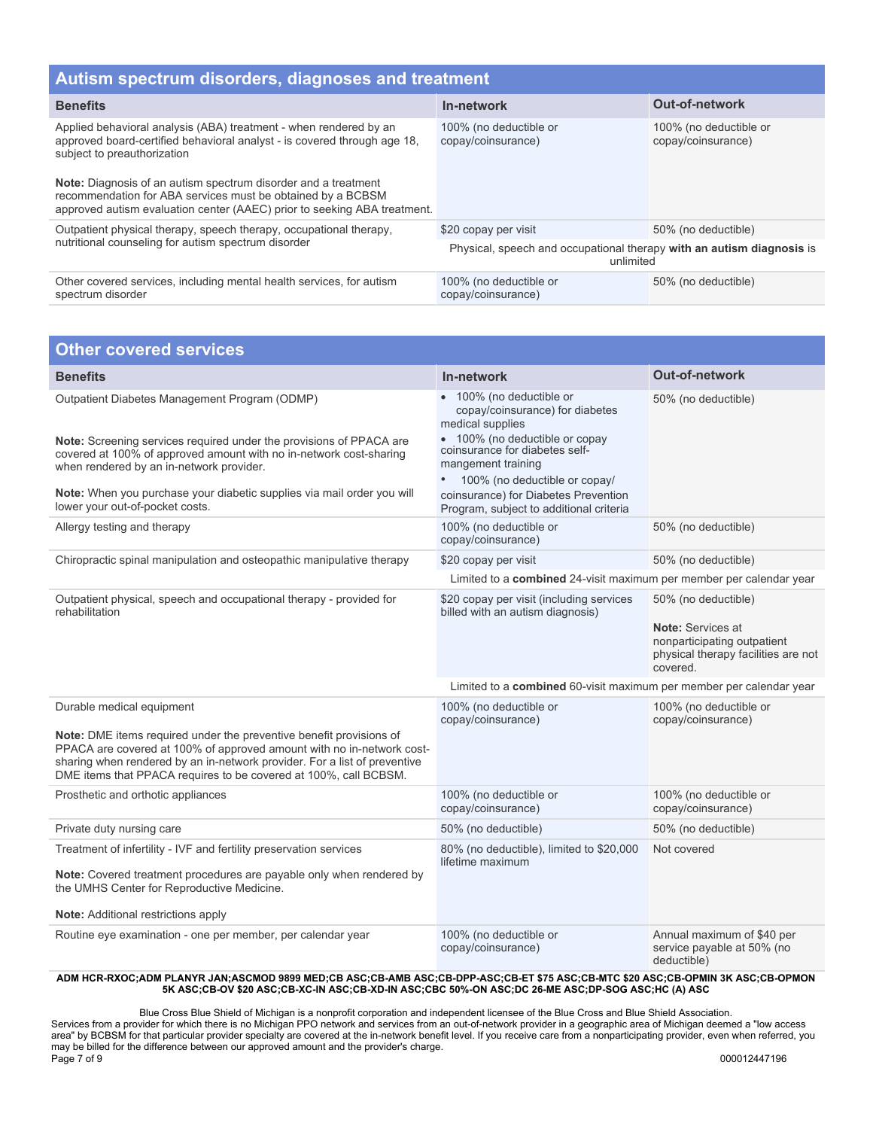| Autism spectrum disorders, diagnoses and treatment                                                                                                                                                                                                                                                                                                                                               |                                                                                    |                                              |  |
|--------------------------------------------------------------------------------------------------------------------------------------------------------------------------------------------------------------------------------------------------------------------------------------------------------------------------------------------------------------------------------------------------|------------------------------------------------------------------------------------|----------------------------------------------|--|
| <b>Benefits</b>                                                                                                                                                                                                                                                                                                                                                                                  | In-network                                                                         | <b>Out-of-network</b>                        |  |
| Applied behavioral analysis (ABA) treatment - when rendered by an<br>approved board-certified behavioral analyst - is covered through age 18.<br>subject to preauthorization<br><b>Note:</b> Diagnosis of an autism spectrum disorder and a treatment<br>recommendation for ABA services must be obtained by a BCBSM<br>approved autism evaluation center (AAEC) prior to seeking ABA treatment. | 100% (no deductible or<br>copay/coinsurance)                                       | 100% (no deductible or<br>copay/coinsurance) |  |
| Outpatient physical therapy, speech therapy, occupational therapy,<br>nutritional counseling for autism spectrum disorder                                                                                                                                                                                                                                                                        | \$20 copay per visit                                                               | 50% (no deductible)                          |  |
|                                                                                                                                                                                                                                                                                                                                                                                                  | Physical, speech and occupational therapy with an autism diagnosis is<br>unlimited |                                              |  |
| Other covered services, including mental health services, for autism<br>spectrum disorder                                                                                                                                                                                                                                                                                                        | 100% (no deductible or<br>copay/coinsurance)                                       | 50% (no deductible)                          |  |

| <b>Other covered services</b>                                                                                                                                                                                                                                                                                              |                                                                                                                                                                                                                         |                                                                                                                            |
|----------------------------------------------------------------------------------------------------------------------------------------------------------------------------------------------------------------------------------------------------------------------------------------------------------------------------|-------------------------------------------------------------------------------------------------------------------------------------------------------------------------------------------------------------------------|----------------------------------------------------------------------------------------------------------------------------|
| <b>Benefits</b>                                                                                                                                                                                                                                                                                                            | In-network                                                                                                                                                                                                              | Out-of-network                                                                                                             |
| Outpatient Diabetes Management Program (ODMP)<br>Note: Screening services required under the provisions of PPACA are<br>covered at 100% of approved amount with no in-network cost-sharing<br>when rendered by an in-network provider.                                                                                     | • 100% (no deductible or<br>copay/coinsurance) for diabetes<br>medical supplies<br>• 100% (no deductible or copay<br>coinsurance for diabetes self-<br>mangement training<br>100% (no deductible or copay/<br>$\bullet$ | 50% (no deductible)                                                                                                        |
| Note: When you purchase your diabetic supplies via mail order you will<br>lower your out-of-pocket costs.                                                                                                                                                                                                                  | coinsurance) for Diabetes Prevention<br>Program, subject to additional criteria                                                                                                                                         |                                                                                                                            |
| Allergy testing and therapy                                                                                                                                                                                                                                                                                                | 100% (no deductible or<br>copay/coinsurance)                                                                                                                                                                            | 50% (no deductible)                                                                                                        |
| Chiropractic spinal manipulation and osteopathic manipulative therapy                                                                                                                                                                                                                                                      | \$20 copay per visit                                                                                                                                                                                                    | 50% (no deductible)                                                                                                        |
|                                                                                                                                                                                                                                                                                                                            | Limited to a combined 24-visit maximum per member per calendar year                                                                                                                                                     |                                                                                                                            |
| Outpatient physical, speech and occupational therapy - provided for<br>rehabilitation                                                                                                                                                                                                                                      | \$20 copay per visit (including services<br>billed with an autism diagnosis)                                                                                                                                            | 50% (no deductible)<br>Note: Services at<br>nonparticipating outpatient<br>physical therapy facilities are not<br>covered. |
|                                                                                                                                                                                                                                                                                                                            | Limited to a combined 60-visit maximum per member per calendar year                                                                                                                                                     |                                                                                                                            |
| Durable medical equipment<br>Note: DME items required under the preventive benefit provisions of<br>PPACA are covered at 100% of approved amount with no in-network cost-<br>sharing when rendered by an in-network provider. For a list of preventive<br>DME items that PPACA requires to be covered at 100%, call BCBSM. | 100% (no deductible or<br>copay/coinsurance)                                                                                                                                                                            | 100% (no deductible or<br>copay/coinsurance)                                                                               |
| Prosthetic and orthotic appliances                                                                                                                                                                                                                                                                                         | 100% (no deductible or<br>copay/coinsurance)                                                                                                                                                                            | 100% (no deductible or<br>copay/coinsurance)                                                                               |
| Private duty nursing care                                                                                                                                                                                                                                                                                                  | 50% (no deductible)                                                                                                                                                                                                     | 50% (no deductible)                                                                                                        |
| Treatment of infertility - IVF and fertility preservation services<br>Note: Covered treatment procedures are payable only when rendered by<br>the UMHS Center for Reproductive Medicine.<br>Note: Additional restrictions apply                                                                                            | 80% (no deductible), limited to \$20,000<br>lifetime maximum                                                                                                                                                            | Not covered                                                                                                                |
| Routine eye examination - one per member, per calendar year                                                                                                                                                                                                                                                                | 100% (no deductible or<br>copay/coinsurance)                                                                                                                                                                            | Annual maximum of \$40 per<br>service payable at 50% (no<br>deductible)                                                    |

Blue Cross Blue Shield of Michigan is a nonprofit corporation and independent licensee of the Blue Cross and Blue Shield Association. Services from a provider for which there is no Michigan PPO network and services from an out-of-network provider in a geographic area of Michigan deemed a "low access area" by BCBSM for that particular provider specialty are covered at the in-network benefit level. If you receive care from a nonparticipating provider, even when referred, you may be billed for the difference between our approved amount and the provider's charge. Page 7 of 9 000012447196 000012447196 000012447196 000012447196 000012447196 000012447196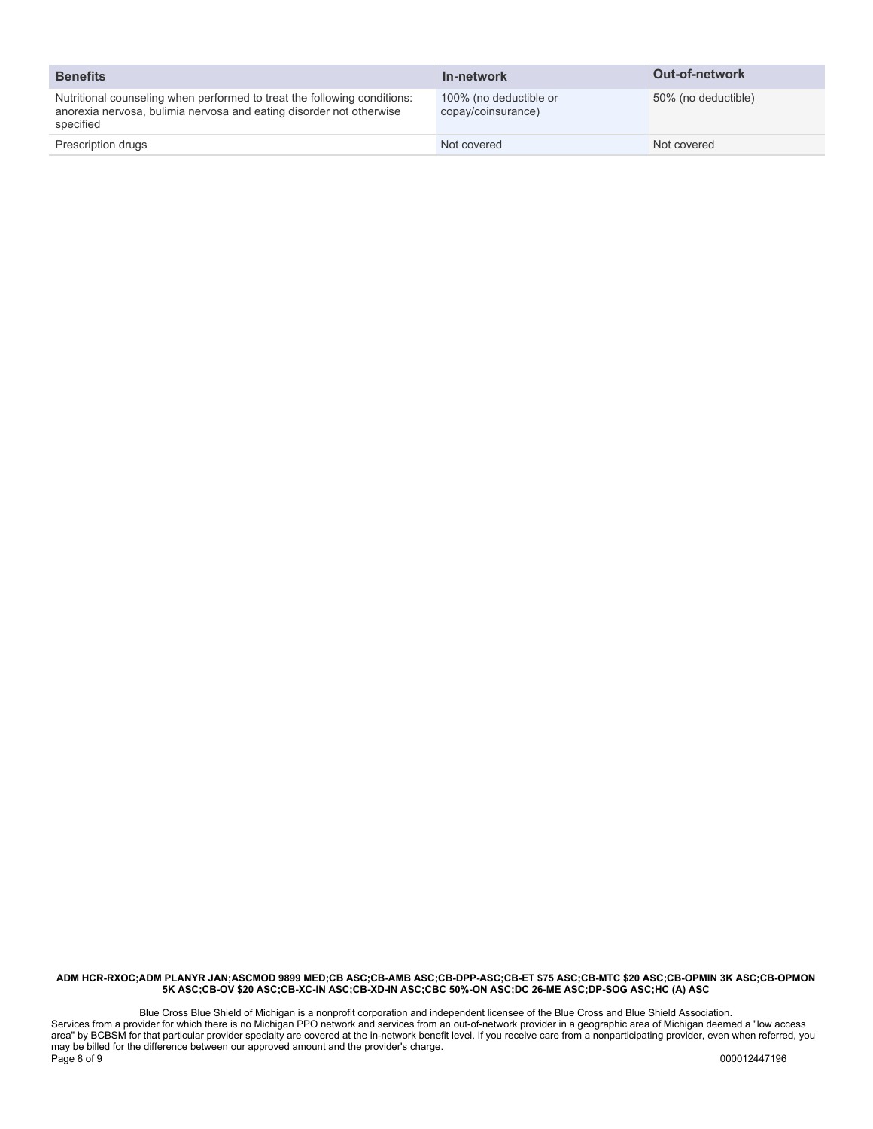| <b>Benefits</b>                                                                                                                                              | In-network                                   | <b>Out-of-network</b> |
|--------------------------------------------------------------------------------------------------------------------------------------------------------------|----------------------------------------------|-----------------------|
| Nutritional counseling when performed to treat the following conditions:<br>anorexia nervosa, bulimia nervosa and eating disorder not otherwise<br>specified | 100% (no deductible or<br>copay/coinsurance) | 50% (no deductible)   |
| Prescription drugs                                                                                                                                           | Not covered                                  | Not covered           |

Blue Cross Blue Shield of Michigan is a nonprofit corporation and independent licensee of the Blue Cross and Blue Shield Association. Services from a provider for which there is no Michigan PPO network and services from an out-of-network provider in a geographic area of Michigan deemed a "low access area" by BCBSM for that particular provider specialty are covered at the in-network benefit level. If you receive care from a nonparticipating provider, even when referred, you may be billed for the difference between our approved amount and the provider's charge. Page 8 of 9 000012447196